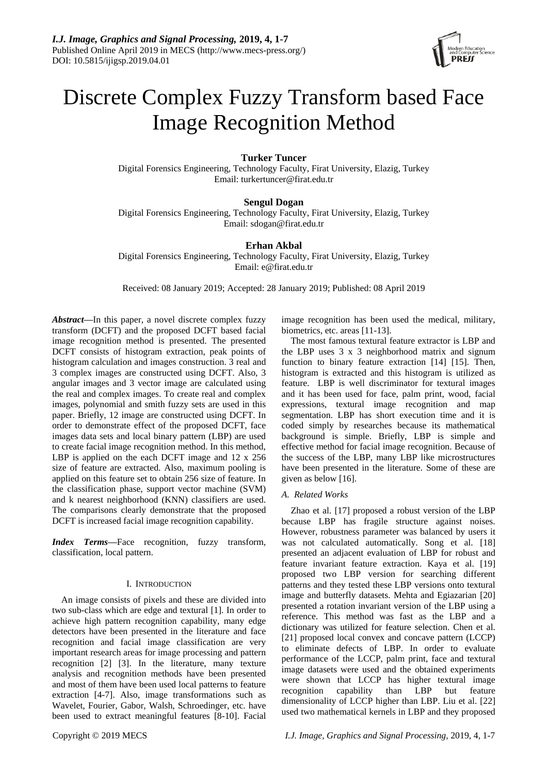

# Discrete Complex Fuzzy Transform based Face Image Recognition Method

# **Turker Tuncer**

Digital Forensics Engineering, Technology Faculty, Firat University, Elazig, Turkey Email: turkertuncer@firat.edu.tr

# **Sengul Dogan**

Digital Forensics Engineering, Technology Faculty, Firat University, Elazig, Turkey Email: sdogan@firat.edu.tr

# **Erhan Akbal**

Digital Forensics Engineering, Technology Faculty, Firat University, Elazig, Turkey Email: e@firat.edu.tr

Received: 08 January 2019; Accepted: 28 January 2019; Published: 08 April 2019

*Abstract***—**In this paper, a novel discrete complex fuzzy transform (DCFT) and the proposed DCFT based facial image recognition method is presented. The presented DCFT consists of histogram extraction, peak points of histogram calculation and images construction. 3 real and 3 complex images are constructed using DCFT. Also, 3 angular images and 3 vector image are calculated using the real and complex images. To create real and complex images, polynomial and smith fuzzy sets are used in this paper. Briefly, 12 image are constructed using DCFT. In order to demonstrate effect of the proposed DCFT, face images data sets and local binary pattern (LBP) are used to create facial image recognition method. In this method, LBP is applied on the each DCFT image and 12 x 256 size of feature are extracted. Also, maximum pooling is applied on this feature set to obtain 256 size of feature. In the classification phase, support vector machine (SVM) and k nearest neighborhood (KNN) classifiers are used. The comparisons clearly demonstrate that the proposed DCFT is increased facial image recognition capability.

*Index Terms***—**Face recognition, fuzzy transform, classification, local pattern.

## I. INTRODUCTION

An image consists of pixels and these are divided into two sub-class which are edge and textural [1]. In order to achieve high pattern recognition capability, many edge detectors have been presented in the literature and face recognition and facial image classification are very important research areas for image processing and pattern recognition [2] [3]. In the literature, many texture analysis and recognition methods have been presented and most of them have been used local patterns to feature extraction [4-7]. Also, image transformations such as Wavelet, Fourier, Gabor, Walsh, Schroedinger, etc. have been used to extract meaningful features [8-10]. Facial image recognition has been used the medical, military, biometrics, etc. areas [11-13].

The most famous textural feature extractor is LBP and the LBP uses 3 x 3 neighborhood matrix and signum function to binary feature extraction [14] [15]. Then, histogram is extracted and this histogram is utilized as feature. LBP is well discriminator for textural images and it has been used for face, palm print, wood, facial expressions, textural image recognition and map segmentation. LBP has short execution time and it is coded simply by researches because its mathematical background is simple. Briefly, LBP is simple and effective method for facial image recognition. Because of the success of the LBP, many LBP like microstructures have been presented in the literature. Some of these are given as below [16].

# *A. Related Works*

Zhao et al. [17] proposed a robust version of the LBP because LBP has fragile structure against noises. However, robustness parameter was balanced by users it was not calculated automatically. Song et al. [18] presented an adjacent evaluation of LBP for robust and feature invariant feature extraction. Kaya et al. [19] proposed two LBP version for searching different patterns and they tested these LBP versions onto textural image and butterfly datasets. Mehta and Egiazarian [20] presented a rotation invariant version of the LBP using a reference. This method was fast as the LBP and a dictionary was utilized for feature selection. Chen et al. [21] proposed local convex and concave pattern (LCCP) to eliminate defects of LBP. In order to evaluate performance of the LCCP, palm print, face and textural image datasets were used and the obtained experiments were shown that LCCP has higher textural image recognition capability than LBP but feature dimensionality of LCCP higher than LBP. Liu et al. [22] used two mathematical kernels in LBP and they proposed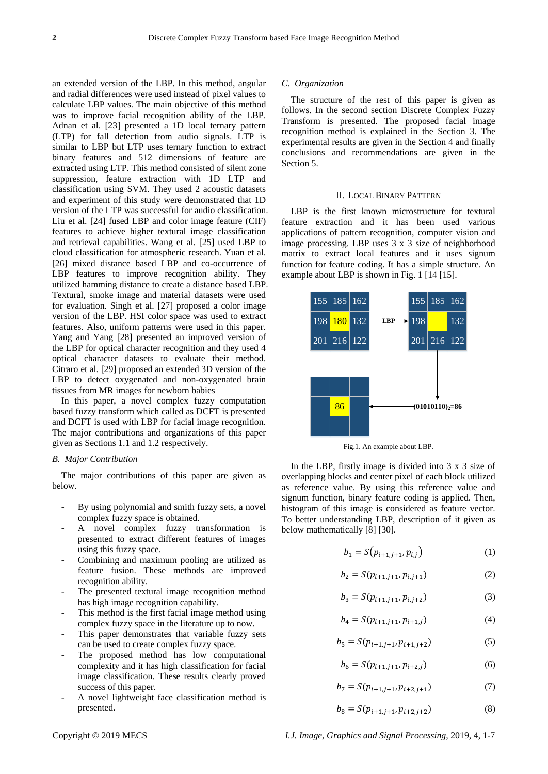an extended version of the LBP. In this method, angular and radial differences were used instead of pixel values to calculate LBP values. The main objective of this method was to improve facial recognition ability of the LBP. Adnan et al. [23] presented a 1D local ternary pattern (LTP) for fall detection from audio signals. LTP is similar to LBP but LTP uses ternary function to extract binary features and 512 dimensions of feature are extracted using LTP. This method consisted of silent zone suppression, feature extraction with 1D LTP and classification using SVM. They used 2 acoustic datasets and experiment of this study were demonstrated that 1D version of the LTP was successful for audio classification. Liu et al. [24] fused LBP and color image feature (CIF) features to achieve higher textural image classification and retrieval capabilities. Wang et al. [25] used LBP to cloud classification for atmospheric research. Yuan et al. [26] mixed distance based LBP and co-occurrence of LBP features to improve recognition ability. They utilized hamming distance to create a distance based LBP. Textural, smoke image and material datasets were used for evaluation. Singh et al. [27] proposed a color image version of the LBP. HSI color space was used to extract features. Also, uniform patterns were used in this paper. Yang and Yang [28] presented an improved version of the LBP for optical character recognition and they used 4 optical character datasets to evaluate their method. Citraro et al. [29] proposed an extended 3D version of the LBP to detect oxygenated and non-oxygenated brain tissues from MR images for newborn babies

In this paper, a novel complex fuzzy computation based fuzzy transform which called as DCFT is presented and DCFT is used with LBP for facial image recognition. The major contributions and organizations of this paper given as Sections 1.1 and 1.2 respectively.

## *B. Major Contribution*

The major contributions of this paper are given as below.

- By using polynomial and smith fuzzy sets, a novel complex fuzzy space is obtained.
- A novel complex fuzzy transformation is presented to extract different features of images using this fuzzy space.
- Combining and maximum pooling are utilized as feature fusion. These methods are improved recognition ability.
- The presented textural image recognition method has high image recognition capability.
- This method is the first facial image method using complex fuzzy space in the literature up to now.
- This paper demonstrates that variable fuzzy sets can be used to create complex fuzzy space.
- The proposed method has low computational complexity and it has high classification for facial image classification. These results clearly proved success of this paper.
- A novel lightweight face classification method is presented.

#### *C. Organization*

The structure of the rest of this paper is given as follows. In the second section Discrete Complex Fuzzy Transform is presented. The proposed facial image recognition method is explained in the Section 3. The experimental results are given in the Section 4 and finally conclusions and recommendations are given in the Section 5.

#### II. LOCAL BINARY PATTERN

LBP is the first known microstructure for textural feature extraction and it has been used various applications of pattern recognition, computer vision and image processing. LBP uses 3 x 3 size of neighborhood matrix to extract local features and it uses signum function for feature coding. It has a simple structure. An example about LBP is shown in Fig. 1 [14 [15].



Fig.1. An example about LBP.

In the LBP, firstly image is divided into 3 x 3 size of overlapping blocks and center pixel of each block utilized as reference value. By using this reference value and signum function, binary feature coding is applied. Then, histogram of this image is considered as feature vector. To better understanding LBP, description of it given as below mathematically [8] [30].

$$
b_1 = S(p_{i+1,j+1}, p_{i,j})
$$
 (1)

$$
b_2 = S(p_{i+1,j+1}, p_{i,j+1})
$$
 (2)

$$
b_3 = S(p_{i+1,j+1}, p_{i,j+2})
$$
 (3)

$$
b_4 = S(p_{i+1,j+1}, p_{i+1,j}) \tag{4}
$$

$$
b_5 = S(p_{i+1,j+1}, p_{i+1,j+2})
$$
 (5)

$$
b_6 = S(p_{i+1,j+1}, p_{i+2,j})
$$
 (6)

$$
b_7 = S(p_{i+1,j+1}, p_{i+2,j+1}) \tag{7}
$$

$$
b_8 = S(p_{i+1,j+1}, p_{i+2,j+2})
$$
 (8)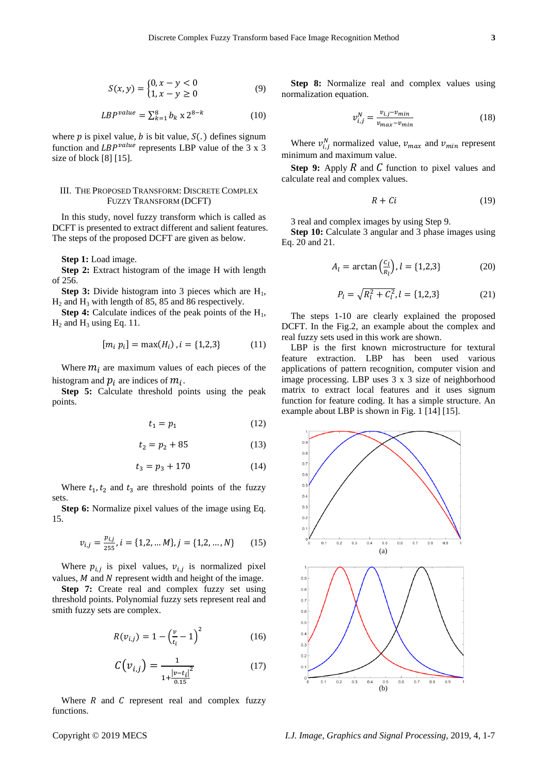$$
S(x, y) = \begin{cases} 0, x - y < 0 \\ 1, x - y \ge 0 \end{cases}
$$
 (9)

$$
LBP^{value} = \sum_{k=1}^{8} b_k \ge 2^{8-k} \tag{10}
$$

where *p* is pixel value, *b* is bit value,  $S(.)$  defines signum function and  $LBP^{value}$  represents LBP value of the 3 x 3 size of block [8] [15].

## III. THE PROPOSED TRANSFORM: DISCRETE COMPLEX FUZZY TRANSFORM (DCFT)

In this study, novel fuzzy transform which is called as DCFT is presented to extract different and salient features. The steps of the proposed DCFT are given as below.

**Step 1:** Load image.

**Step 2:** Extract histogram of the image H with length of 256.

**Step 3:** Divide histogram into 3 pieces which are  $H_1$ ,  $H<sub>2</sub>$  and  $H<sub>3</sub>$  with length of 85, 85 and 86 respectively.

**Step 4:** Calculate indices of the peak points of the  $H_1$ ,  $H_2$  and  $H_3$  using Eq. 11.

$$
[m_i p_i] = \max(H_i), i = \{1, 2, 3\}
$$
 (11)

Where  $m_i$  are maximum values of each pieces of the histogram and  $p_i$  are indices of  $m_i$ .

**Step 5:** Calculate threshold points using the peak points.

$$
t_1 = p_1 \tag{12}
$$

$$
t_2 = p_2 + 85 \tag{13}
$$

$$
t_3 = p_3 + 170 \tag{14}
$$

Where  $t_1, t_2$  and  $t_3$  are threshold points of the fuzzy sets.

**Step 6:** Normalize pixel values of the image using Eq. 15.

$$
v_{i,j} = \frac{p_{i,j}}{255}, i = \{1, 2, \dots M\}, j = \{1, 2, \dots, N\}
$$
 (15)

Where  $p_{i,j}$  is pixel values,  $v_{i,j}$  is normalized pixel values,  $M$  and  $N$  represent width and height of the image.

Step 7: Create real and complex fuzzy set using threshold points. Polynomial fuzzy sets represent real and smith fuzzy sets are complex.

$$
R(v_{i,j}) = 1 - \left(\frac{v}{t_i} - 1\right)^2 \tag{16}
$$

$$
C(v_{i,j}) = \frac{1}{1 + \frac{|v - t_i|^2}{0.15}}
$$
 (17)

Where  $R$  and  $C$  represent real and complex fuzzy functions.

**Step 8:** Normalize real and complex values using normalization equation.

$$
v_{i,j}^N = \frac{v_{i,j} - v_{min}}{v_{max} - v_{min}}\tag{18}
$$

Where  $v_{i,j}^N$  normalized value,  $v_{max}$  and  $v_{min}$  represent minimum and maximum value.

**Step 9:** Apply  $R$  and  $C$  function to pixel values and calculate real and complex values.

$$
R + Ci \tag{19}
$$

3 real and complex images by using Step 9.

**Step 10:** Calculate 3 angular and 3 phase images using Eq. 20 and 21.

$$
A_l = \arctan\left(\frac{c_l}{R_l}\right), l = \{1, 2, 3\} \tag{20}
$$

$$
P_l = \sqrt{R_l^2 + C_l^2}, l = \{1, 2, 3\}
$$
 (21)

The steps 1-10 are clearly explained the proposed DCFT. In the Fig.2, an example about the complex and real fuzzy sets used in this work are shown.

LBP is the first known microstructure for textural feature extraction. LBP has been used various applications of pattern recognition, computer vision and image processing. LBP uses 3 x 3 size of neighborhood matrix to extract local features and it uses signum function for feature coding. It has a simple structure. An example about LBP is shown in Fig. 1 [14] [15].

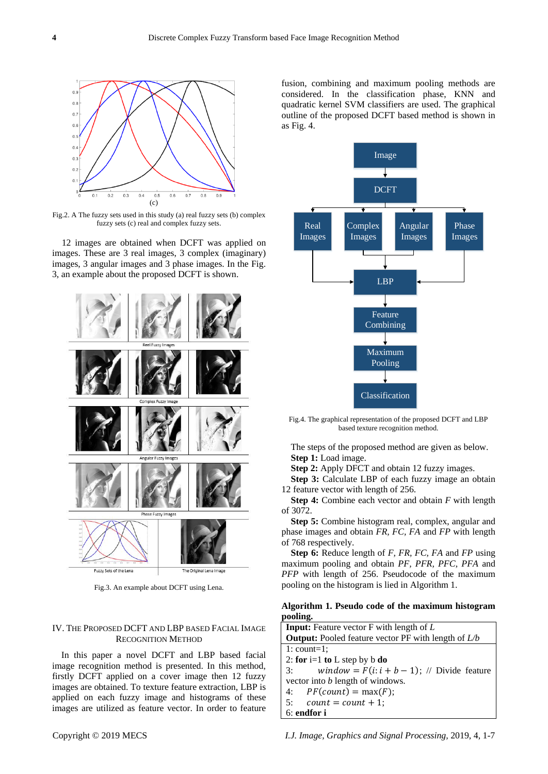

Fig.2. A The fuzzy sets used in this study (a) real fuzzy sets (b) complex fuzzy sets (c) real and complex fuzzy sets.

12 images are obtained when DCFT was applied on images. These are 3 real images, 3 complex (imaginary) images, 3 angular images and 3 phase images. In the Fig. 3, an example about the proposed DCFT is shown.



Fig.3. An example about DCFT using Lena.

# IV. THE PROPOSED DCFT AND LBP BASED FACIAL IMAGE RECOGNITION METHOD

In this paper a novel DCFT and LBP based facial image recognition method is presented. In this method, firstly DCFT applied on a cover image then 12 fuzzy images are obtained. To texture feature extraction, LBP is applied on each fuzzy image and histograms of these images are utilized as feature vector. In order to feature

fusion, combining and maximum pooling methods are considered. In the classification phase, KNN and quadratic kernel SVM classifiers are used. The graphical outline of the proposed DCFT based method is shown in as Fig. 4.



Fig.4. The graphical representation of the proposed DCFT and LBP based texture recognition method.

The steps of the proposed method are given as below. **Step 1:** Load image.

**Step 2:** Apply DFCT and obtain 12 fuzzy images.

**Step 3:** Calculate LBP of each fuzzy image an obtain 12 feature vector with length of 256.

**Step 4:** Combine each vector and obtain *F* with length of 3072.

**Step 5:** Combine histogram real, complex, angular and phase images and obtain *FR, FC, FA* and *FP* with length of 768 respectively.

**Step 6:** Reduce length of *F, FR, FC, FA* and *FP* using maximum pooling and obtain *PF, PFR, PFC, PFA* and *PFP* with length of 256. Pseudocode of the maximum pooling on the histogram is lied in Algorithm 1.

**Algorithm 1. Pseudo code of the maximum histogram pooling.**

| <b>Input:</b> Feature vector F with length of L              |
|--------------------------------------------------------------|
| <b>Output:</b> Pooled feature vector PF with length of $L/b$ |
| $1:$ count=1;                                                |
| 2: for i=1 to L step by b do                                 |
| window = $F(i:i + b - 1)$ ; // Divide feature<br>3:          |
| vector into <i>b</i> length of windows.                      |
| 4: $PF(count) = max(F);$                                     |
| 5: $count = count + 1$ ;                                     |
| 6: endfor i                                                  |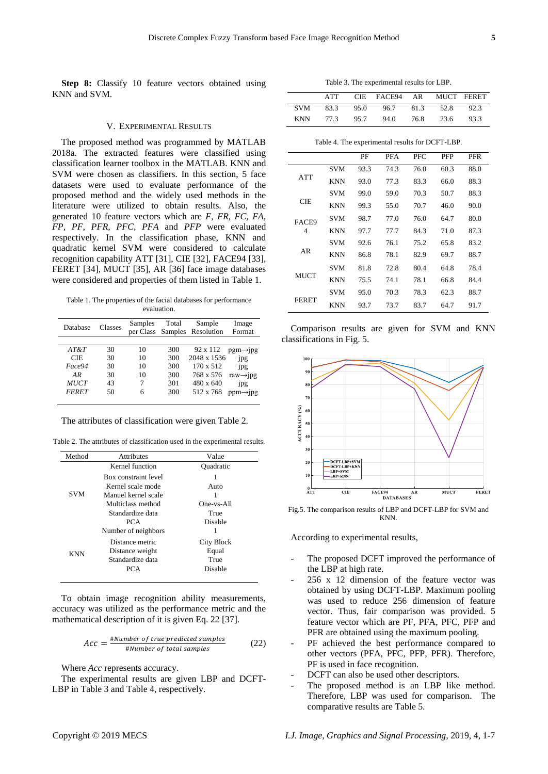**Step 8:** Classify 10 feature vectors obtained using KNN and SVM.

## V. EXPERIMENTAL RESULTS

The proposed method was programmed by MATLAB 2018a. The extracted features were classified using classification learner toolbox in the MATLAB. KNN and SVM were chosen as classifiers. In this section, 5 face datasets were used to evaluate performance of the proposed method and the widely used methods in the literature were utilized to obtain results. Also, the generated 10 feature vectors which are *F, FR, FC, FA, FP, PF, PFR, PFC, PFA* and *PFP* were evaluated respectively. In the classification phase, KNN and quadratic kernel SVM were considered to calculate recognition capability ATT [31], CIE [32], FACE94 [33], FERET [34], MUCT [35], AR [36] face image databases were considered and properties of them listed in Table 1.

Table 1. The properties of the facial databases for performance evaluation.

| Database                                                          | Classes                          | Samples                   | Total                                  | Sample<br>per Class Samples Resolution                                             | Image<br>Format                                                                              |
|-------------------------------------------------------------------|----------------------------------|---------------------------|----------------------------------------|------------------------------------------------------------------------------------|----------------------------------------------------------------------------------------------|
| AT&T<br><b>CIE</b><br>Face94<br>AR<br><b>MUCT</b><br><b>FERET</b> | 30<br>30<br>30<br>30<br>43<br>50 | 10<br>10<br>10<br>10<br>6 | 300<br>300<br>300<br>300<br>301<br>300 | 92 x 112<br>2048 x 1536<br>170 x 512<br>768 x 576<br>$480 \times 640$<br>512 x 768 | $pgm\rightarrow$ ipg<br>jpg<br>jpg<br>raw $\rightarrow$ jpg<br>ipg<br>$ppm\rightarrow$ $ppg$ |

The attributes of classification were given Table 2.

Table 2. The attributes of classification used in the experimental results.

| Method     | <b>Attributes</b>    | Value      |
|------------|----------------------|------------|
|            | Kernel function      | Ouadratic  |
|            | Box constraint level |            |
| <b>SVM</b> | Kernel scale mode    | Auto       |
|            | Manuel kernel scale  | 1          |
|            | Multiclass method    | One-vs-All |
|            | Standardize data     | True       |
|            | PCA                  | Disable    |
|            | Number of neighbors  |            |
|            | Distance metric      | City Block |
| KNN        | Distance weight      | Equal      |
|            | Standardize data     | True       |
|            | PCA                  | Disable    |
|            |                      |            |

To obtain image recognition ability measurements, accuracy was utilized as the performance metric and the mathematical description of it is given Eq. 22 [37].

$$
Acc = \frac{\#Number\ of\ true\ predicted\ samples}{\#Number\ of\ total\ samples} \tag{22}
$$

Where *Acc* represents accuracy.

The experimental results are given LBP and DCFT-LBP in Table 3 and Table 4, respectively.

Table 3. The experimental results for LBP.

|       | ATT  | CIE FACE94 AR MUCT FERET      |           |      |
|-------|------|-------------------------------|-----------|------|
| SVM - |      | 83.3 95.0 96.7 81.3 52.8 92.3 |           |      |
| KNN   | 77.3 | 95.7 94.0                     | 76.8 23.6 | 93.3 |

#### Table 4. The experimental results for DCFT-LBP.

|              |            | PF   | PFA  | PFC  | PFP  | PFR  |
|--------------|------------|------|------|------|------|------|
|              | <b>SVM</b> | 93.3 | 74.3 | 76.0 | 60.3 | 88.0 |
| ATT          | <b>KNN</b> | 93.0 | 77.3 | 83.3 | 66.0 | 88.3 |
|              | SVM        | 99.0 | 59.0 | 70.3 | 50.7 | 88.3 |
| CIE          | <b>KNN</b> | 99.3 | 55.0 | 70.7 | 46.0 | 90.0 |
| FACE9        | <b>SVM</b> | 98.7 | 77.0 | 76.0 | 64.7 | 80.0 |
| 4            | KNN        | 97.7 | 77.7 | 84.3 | 71.0 | 87.3 |
|              | <b>SVM</b> | 92.6 | 76.1 | 75.2 | 65.8 | 83.2 |
| AR           | <b>KNN</b> | 86.8 | 78.1 | 82.9 | 69.7 | 88.7 |
|              | <b>SVM</b> | 81.8 | 72.8 | 80.4 | 64.8 | 78.4 |
| MUCT         | <b>KNN</b> | 75.5 | 74.1 | 78.1 | 66.8 | 84.4 |
| <b>FERET</b> | <b>SVM</b> | 95.0 | 70.3 | 78.3 | 62.3 | 88.7 |
|              | KNN        | 93.7 | 73.7 | 83.7 | 64.7 | 91.7 |

Comparison results are given for SVM and KNN classifications in Fig. 5.



Fig.5. The comparison results of LBP and DCFT-LBP for SVM and KNN.

According to experimental results,

- The proposed DCFT improved the performance of the LBP at high rate.
- 256 x 12 dimension of the feature vector was obtained by using DCFT-LBP. Maximum pooling was used to reduce 256 dimension of feature vector. Thus, fair comparison was provided. 5 feature vector which are PF, PFA, PFC, PFP and PFR are obtained using the maximum pooling.
- PF achieved the best performance compared to other vectors (PFA, PFC, PFP, PFR). Therefore, PF is used in face recognition.
- DCFT can also be used other descriptors.
- The proposed method is an LBP like method. Therefore, LBP was used for comparison. The comparative results are Table 5.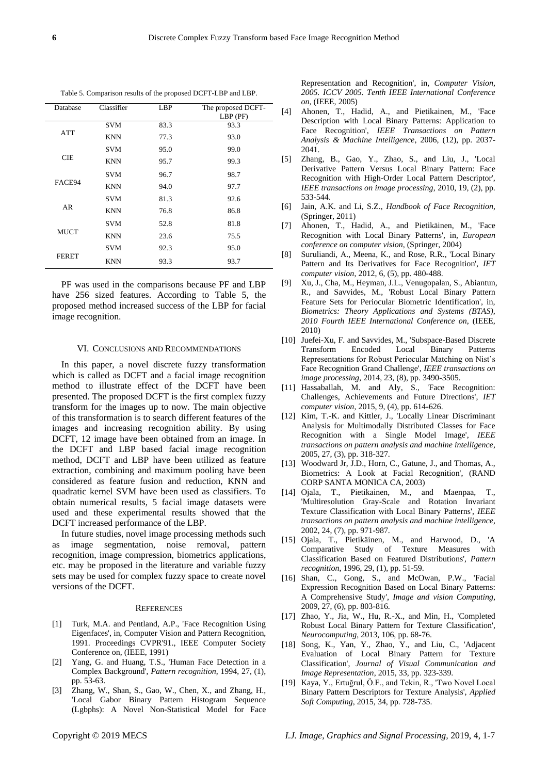| Database     | Classifier | LBP  | The proposed DCFT- |
|--------------|------------|------|--------------------|
|              |            |      | $LBP$ (PF)         |
|              | <b>SVM</b> | 83.3 | 93.3               |
| ATT          | <b>KNN</b> | 77.3 | 93.0               |
|              | <b>SVM</b> | 95.0 | 99.0               |
| <b>CIE</b>   | <b>KNN</b> | 95.7 | 99.3               |
|              | <b>SVM</b> | 96.7 | 98.7               |
| FACE94       | <b>KNN</b> | 94.0 | 97.7               |
|              | <b>SVM</b> | 81.3 | 92.6               |
| AR           | <b>KNN</b> | 76.8 | 86.8               |
|              | <b>SVM</b> | 52.8 | 81.8               |
| MUCT         | <b>KNN</b> | 23.6 | 75.5               |
| <b>FERET</b> | <b>SVM</b> | 92.3 | 95.0               |
|              | <b>KNN</b> | 93.3 | 93.7               |

Table 5. Comparison results of the proposed DCFT-LBP and LBP.

PF was used in the comparisons because PF and LBP have 256 sized features. According to Table 5, the proposed method increased success of the LBP for facial image recognition.

#### VI. CONCLUSIONS AND RECOMMENDATIONS

In this paper, a novel discrete fuzzy transformation which is called as DCFT and a facial image recognition method to illustrate effect of the DCFT have been presented. The proposed DCFT is the first complex fuzzy transform for the images up to now. The main objective of this transformation is to search different features of the images and increasing recognition ability. By using DCFT, 12 image have been obtained from an image. In the DCFT and LBP based facial image recognition method, DCFT and LBP have been utilized as feature extraction, combining and maximum pooling have been considered as feature fusion and reduction, KNN and quadratic kernel SVM have been used as classifiers. To obtain numerical results, 5 facial image datasets were used and these experimental results showed that the DCFT increased performance of the LBP.

In future studies, novel image processing methods such as image segmentation, noise removal, pattern recognition, image compression, biometrics applications, etc. may be proposed in the literature and variable fuzzy sets may be used for complex fuzzy space to create novel versions of the DCFT.

#### **REFERENCES**

- [1] Turk, M.A. and Pentland, A.P., 'Face Recognition Using Eigenfaces', in, Computer Vision and Pattern Recognition, 1991. Proceedings CVPR'91., IEEE Computer Society Conference on, (IEEE, 1991)
- [2] Yang, G. and Huang, T.S., 'Human Face Detection in a Complex Background', *Pattern recognition*, 1994, 27, (1), pp. 53-63.
- [3] Zhang, W., Shan, S., Gao, W., Chen, X., and Zhang, H., 'Local Gabor Binary Pattern Histogram Sequence (Lgbphs): A Novel Non-Statistical Model for Face

Representation and Recognition', in, *Computer Vision, 2005. ICCV 2005. Tenth IEEE International Conference on*, (IEEE, 2005)

- [4] Ahonen, T., Hadid, A., and Pietikainen, M., 'Face Description with Local Binary Patterns: Application to Face Recognition', *IEEE Transactions on Pattern Analysis & Machine Intelligence*, 2006, (12), pp. 2037- 2041.
- [5] Zhang, B., Gao, Y., Zhao, S., and Liu, J., 'Local Derivative Pattern Versus Local Binary Pattern: Face Recognition with High-Order Local Pattern Descriptor', *IEEE transactions on image processing*, 2010, 19, (2), pp. 533-544.
- [6] Jain, A.K. and Li, S.Z., *Handbook of Face Recognition*, (Springer, 2011)
- [7] Ahonen, T., Hadid, A., and Pietikäinen, M., 'Face Recognition with Local Binary Patterns', in, *European conference on computer vision*, (Springer, 2004)
- [8] Suruliandi, A., Meena, K., and Rose, R.R., 'Local Binary Pattern and Its Derivatives for Face Recognition', *IET computer vision*, 2012, 6, (5), pp. 480-488.
- [9] Xu, J., Cha, M., Heyman, J.L., Venugopalan, S., Abiantun, R., and Savvides, M., 'Robust Local Binary Pattern Feature Sets for Periocular Biometric Identification', in, *Biometrics: Theory Applications and Systems (BTAS), 2010 Fourth IEEE International Conference on*, (IEEE, 2010)
- [10] Juefei-Xu, F. and Savvides, M., 'Subspace-Based Discrete Transform Encoded Local Binary Patterns Representations for Robust Periocular Matching on Nist's Face Recognition Grand Challenge', *IEEE transactions on image processing*, 2014, 23, (8), pp. 3490-3505.
- [11] Hassaballah, M. and Aly, S., 'Face Recognition: Challenges, Achievements and Future Directions', *IET computer vision*, 2015, 9, (4), pp. 614-626.
- [12] Kim, T.-K. and Kittler, J., 'Locally Linear Discriminant Analysis for Multimodally Distributed Classes for Face Recognition with a Single Model Image', *IEEE transactions on pattern analysis and machine intelligence*, 2005, 27, (3), pp. 318-327.
- [13] Woodward Jr, J.D., Horn, C., Gatune, J., and Thomas, A., Biometrics: A Look at Facial Recognition', (RAND CORP SANTA MONICA CA, 2003)
- [14] Ojala, T., Pietikainen, M., and Maenpaa, T., 'Multiresolution Gray-Scale and Rotation Invariant Texture Classification with Local Binary Patterns', *IEEE transactions on pattern analysis and machine intelligence*, 2002, 24, (7), pp. 971-987.
- [15] Ojala, T., Pietikäinen, M., and Harwood, D., 'A Comparative Study of Texture Measures with Classification Based on Featured Distributions', *Pattern recognition*, 1996, 29, (1), pp. 51-59.
- [16] Shan, C., Gong, S., and McOwan, P.W., 'Facial Expression Recognition Based on Local Binary Patterns: A Comprehensive Study', *Image and vision Computing*, 2009, 27, (6), pp. 803-816.
- [17] Zhao, Y., Jia, W., Hu, R.-X., and Min, H., 'Completed Robust Local Binary Pattern for Texture Classification', *Neurocomputing*, 2013, 106, pp. 68-76.
- [18] Song, K., Yan, Y., Zhao, Y., and Liu, C., 'Adjacent Evaluation of Local Binary Pattern for Texture Classification', *Journal of Visual Communication and Image Representation*, 2015, 33, pp. 323-339.
- [19] Kaya, Y., Ertuğrul, Ö.F., and Tekin, R., 'Two Novel Local Binary Pattern Descriptors for Texture Analysis', *Applied Soft Computing*, 2015, 34, pp. 728-735.